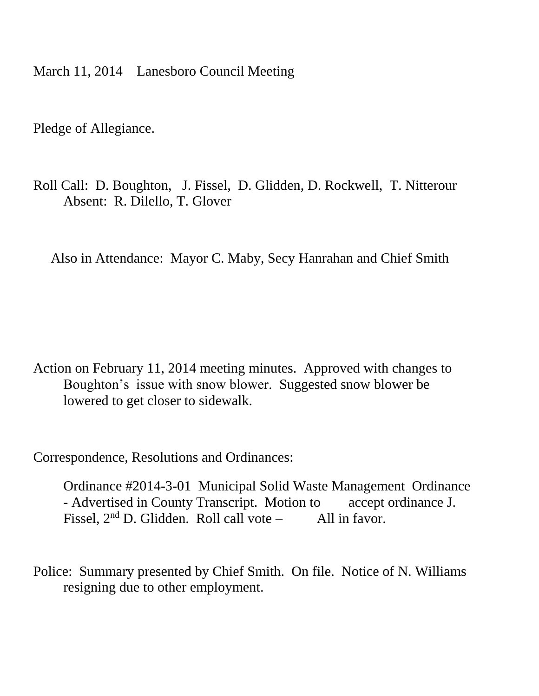March 11, 2014 Lanesboro Council Meeting

Pledge of Allegiance.

Roll Call: D. Boughton, J. Fissel, D. Glidden, D. Rockwell, T. Nitterour Absent: R. Dilello, T. Glover

Also in Attendance: Mayor C. Maby, Secy Hanrahan and Chief Smith

Action on February 11, 2014 meeting minutes. Approved with changes to Boughton's issue with snow blower. Suggested snow blower be lowered to get closer to sidewalk.

Correspondence, Resolutions and Ordinances:

Ordinance #2014-3-01 Municipal Solid Waste Management Ordinance - Advertised in County Transcript. Motion to accept ordinance J. Fissel,  $2<sup>nd</sup>$  D. Glidden. Roll call vote – All in favor.

Police: Summary presented by Chief Smith. On file. Notice of N. Williams resigning due to other employment.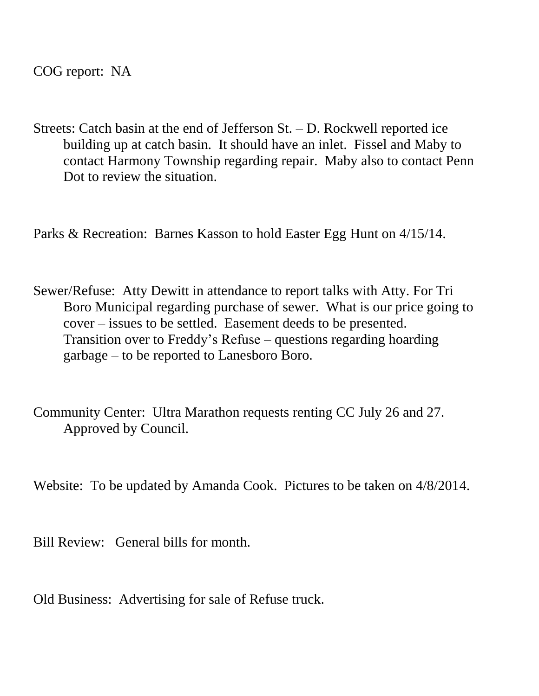COG report: NA

Streets: Catch basin at the end of Jefferson St. – D. Rockwell reported ice building up at catch basin. It should have an inlet. Fissel and Maby to contact Harmony Township regarding repair. Maby also to contact Penn Dot to review the situation.

Parks & Recreation: Barnes Kasson to hold Easter Egg Hunt on 4/15/14.

- Sewer/Refuse: Atty Dewitt in attendance to report talks with Atty. For Tri Boro Municipal regarding purchase of sewer. What is our price going to cover – issues to be settled. Easement deeds to be presented. Transition over to Freddy's Refuse – questions regarding hoarding garbage – to be reported to Lanesboro Boro.
- Community Center: Ultra Marathon requests renting CC July 26 and 27. Approved by Council.

Website: To be updated by Amanda Cook. Pictures to be taken on 4/8/2014.

Bill Review: General bills for month.

Old Business: Advertising for sale of Refuse truck.